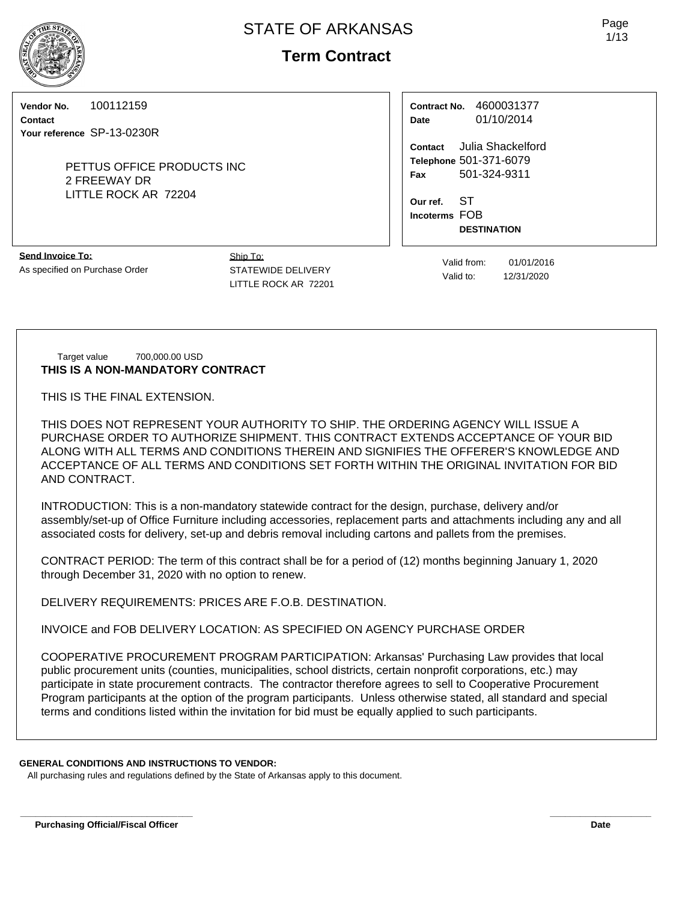# **Term Contract**

**Vendor No.** 100112159

**Contact Your reference** SP-13-0230R

> PETTUS OFFICE PRODUCTS INC 2 FREEWAY DR LITTLE ROCK AR 72204

**Contract No.** 4600031377 **Date** 01/10/2014

**Contact** Julia Shackelford **Telephone** 501-371-6079 **Fax** 501-324-9311

**Our ref.** ST **Incoterms** FOB **DESTINATION**

**Send Invoice To:** As specified on Purchase Order Ship To: STATEWIDE DELIVERY LITTLE ROCK AR 72201

Valid from: 01/01/2016 Valid to: 12/31/2020

Target value 700,000.00 USD **THIS IS A NON-MANDATORY CONTRACT**

THIS IS THE FINAL EXTENSION.

THIS DOES NOT REPRESENT YOUR AUTHORITY TO SHIP. THE ORDERING AGENCY WILL ISSUE A PURCHASE ORDER TO AUTHORIZE SHIPMENT. THIS CONTRACT EXTENDS ACCEPTANCE OF YOUR BID ALONG WITH ALL TERMS AND CONDITIONS THEREIN AND SIGNIFIES THE OFFERER'S KNOWLEDGE AND ACCEPTANCE OF ALL TERMS AND CONDITIONS SET FORTH WITHIN THE ORIGINAL INVITATION FOR BID AND CONTRACT.

INTRODUCTION: This is a non-mandatory statewide contract for the design, purchase, delivery and/or assembly/set-up of Office Furniture including accessories, replacement parts and attachments including any and all associated costs for delivery, set-up and debris removal including cartons and pallets from the premises.

CONTRACT PERIOD: The term of this contract shall be for a period of (12) months beginning January 1, 2020 through December 31, 2020 with no option to renew.

DELIVERY REQUIREMENTS: PRICES ARE F.O.B. DESTINATION.

INVOICE and FOB DELIVERY LOCATION: AS SPECIFIED ON AGENCY PURCHASE ORDER

COOPERATIVE PROCUREMENT PROGRAM PARTICIPATION: Arkansas' Purchasing Law provides that local public procurement units (counties, municipalities, school districts, certain nonprofit corporations, etc.) may participate in state procurement contracts. The contractor therefore agrees to sell to Cooperative Procurement Program participants at the option of the program participants. Unless otherwise stated, all standard and special terms and conditions listed within the invitation for bid must be equally applied to such participants.

**\_\_\_\_\_\_\_\_\_\_\_\_\_\_\_\_\_\_\_\_\_\_\_\_\_\_\_\_\_\_\_\_\_\_ \_\_\_\_\_\_\_\_\_\_\_\_\_\_\_\_\_\_\_\_**

# **GENERAL CONDITIONS AND INSTRUCTIONS TO VENDOR:**

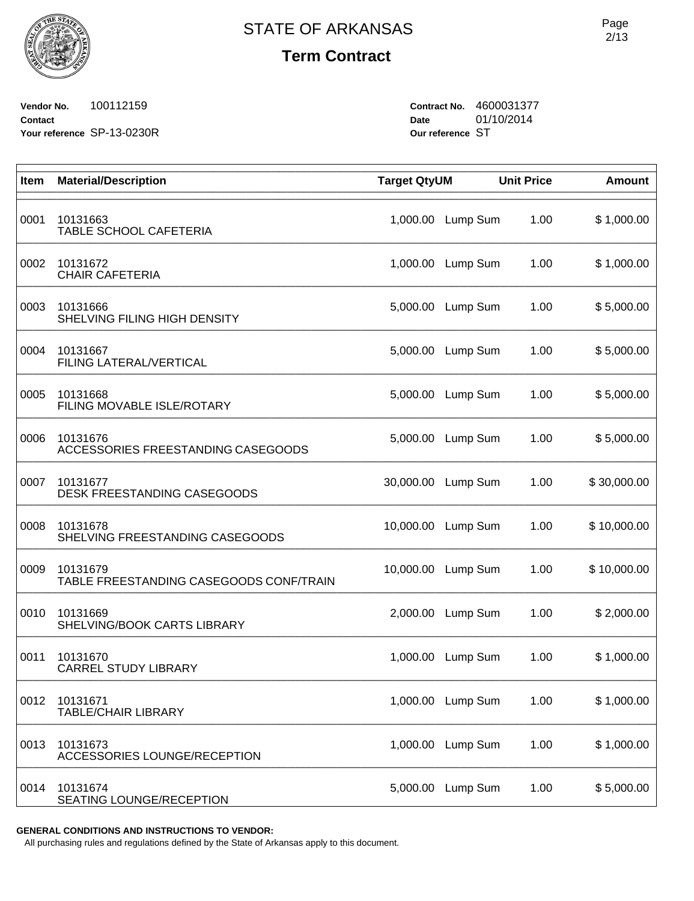**Vendor No.** 100112159 **Contact Your reference** SP-13-0230R **Contract No.** 4600031377 **Date** 01/10/2014 **Our reference** ST

| Item | <b>Material/Description</b>                         | <b>Target QtyUM</b> |          | <b>Unit Price</b> | <b>Amount</b> |
|------|-----------------------------------------------------|---------------------|----------|-------------------|---------------|
| 0001 | 10131663<br>TABLE SCHOOL CAFETERIA                  | 1,000.00            | Lump Sum | 1.00              | \$1,000.00    |
| 0002 | 10131672<br><b>CHAIR CAFETERIA</b>                  | 1,000.00            | Lump Sum | 1.00              | \$1,000.00    |
| 0003 | 10131666<br>SHELVING FILING HIGH DENSITY            | 5,000.00            | Lump Sum | 1.00              | \$5,000.00    |
| 0004 | 10131667<br>FILING LATERAL/VERTICAL                 | 5,000.00            | Lump Sum | 1.00              | \$5,000.00    |
| 0005 | 10131668<br>FILING MOVABLE ISLE/ROTARY              | 5,000.00            | Lump Sum | 1.00              | \$5,000.00    |
| 0006 | 10131676<br>ACCESSORIES FREESTANDING CASEGOODS      | 5,000.00            | Lump Sum | 1.00              | \$5,000.00    |
| 0007 | 10131677<br>DESK FREESTANDING CASEGOODS             | 30,000.00           | Lump Sum | 1.00              | \$30,000.00   |
| 0008 | 10131678<br>SHELVING FREESTANDING CASEGOODS         | 10,000.00           | Lump Sum | 1.00              | \$10,000.00   |
| 0009 | 10131679<br>TABLE FREESTANDING CASEGOODS CONF/TRAIN | 10,000.00           | Lump Sum | 1.00              | \$10,000.00   |
| 0010 | 10131669<br>SHELVING/BOOK CARTS LIBRARY             | 2,000.00            | Lump Sum | 1.00              | \$2,000.00    |
| 0011 | 10131670<br><b>CARREL STUDY LIBRARY</b>             | 1,000.00            | Lump Sum | 1.00              | \$1,000.00    |
| 0012 | 10131671<br><b>TABLE/CHAIR LIBRARY</b>              | 1,000.00            | Lump Sum | 1.00              | \$1,000.00    |
| 0013 | 10131673<br><b>ACCESSORIES LOUNGE/RECEPTION</b>     | 1,000.00            | Lump Sum | 1.00              | \$1,000.00    |
| 0014 | 10131674<br>SEATING LOUNGE/RECEPTION                | 5,000.00            | Lump Sum | 1.00              | \$5,000.00    |

**GENERAL CONDITIONS AND INSTRUCTIONS TO VENDOR:**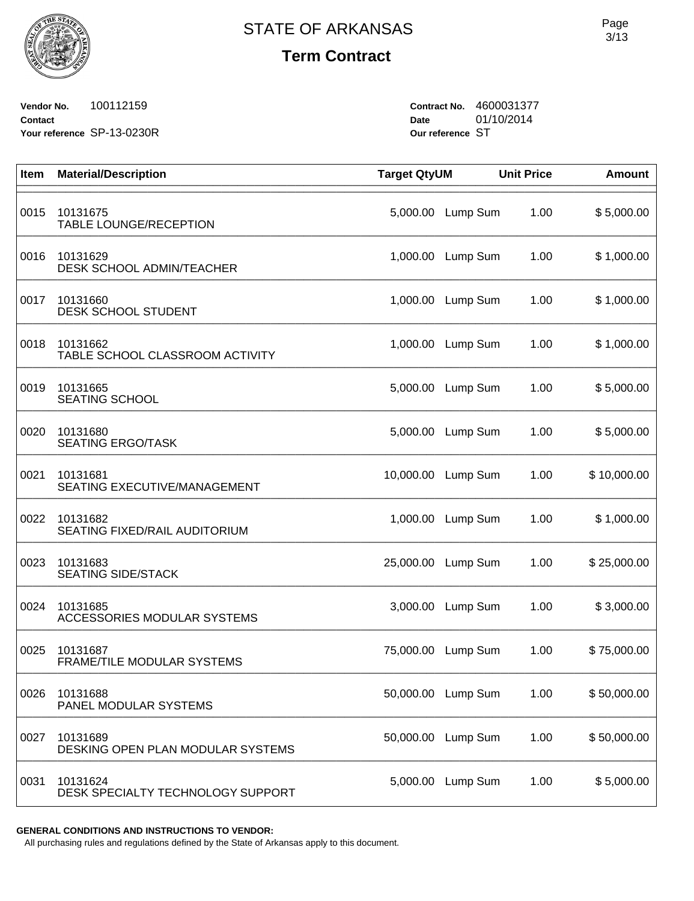

**Vendor No.** 100112159 **Contact Your reference** SP-13-0230R **Contract No.** 4600031377 **Date** 01/10/2014 **Our reference** ST

| Item | <b>Material/Description</b>                   | <b>Target QtyUM</b> |                    | <b>Unit Price</b> | <b>Amount</b> |
|------|-----------------------------------------------|---------------------|--------------------|-------------------|---------------|
| 0015 | 10131675<br>TABLE LOUNGE/RECEPTION            | 5,000.00            | Lump Sum           | 1.00              | \$5,000.00    |
| 0016 | 10131629<br>DESK SCHOOL ADMIN/TEACHER         | 1,000.00            | Lump Sum           | 1.00              | \$1,000.00    |
| 0017 | 10131660<br>DESK SCHOOL STUDENT               | 1,000.00            | Lump Sum           | 1.00              | \$1,000.00    |
| 0018 | 10131662<br>TABLE SCHOOL CLASSROOM ACTIVITY   | 1,000.00            | Lump Sum           | 1.00              | \$1,000.00    |
| 0019 | 10131665<br><b>SEATING SCHOOL</b>             | 5,000.00            | Lump Sum           | 1.00              | \$5,000.00    |
| 0020 | 10131680<br><b>SEATING ERGO/TASK</b>          | 5,000.00            | Lump Sum           | 1.00              | \$5,000.00    |
| 0021 | 10131681<br>SEATING EXECUTIVE/MANAGEMENT      | 10,000.00           | Lump Sum           | 1.00              | \$10,000.00   |
| 0022 | 10131682<br>SEATING FIXED/RAIL AUDITORIUM     | 1,000.00            | Lump Sum           | 1.00              | \$1,000.00    |
| 0023 | 10131683<br><b>SEATING SIDE/STACK</b>         | 25,000.00           | Lump Sum           | 1.00              | \$25,000.00   |
| 0024 | 10131685<br>ACCESSORIES MODULAR SYSTEMS       | 3,000.00            | Lump Sum           | 1.00              | \$3,000.00    |
| 0025 | 10131687<br>FRAME/TILE MODULAR SYSTEMS        | 75,000.00           | Lump Sum           | 1.00              | \$75,000.00   |
| 0026 | 10131688<br>PANEL MODULAR SYSTEMS             |                     | 50,000.00 Lump Sum | 1.00              | \$50,000.00   |
| 0027 | 10131689<br>DESKING OPEN PLAN MODULAR SYSTEMS | 50,000.00           | Lump Sum           | 1.00              | \$50,000.00   |
| 0031 | 10131624<br>DESK SPECIALTY TECHNOLOGY SUPPORT | 5,000.00            | Lump Sum           | 1.00              | \$5,000.00    |

**GENERAL CONDITIONS AND INSTRUCTIONS TO VENDOR:**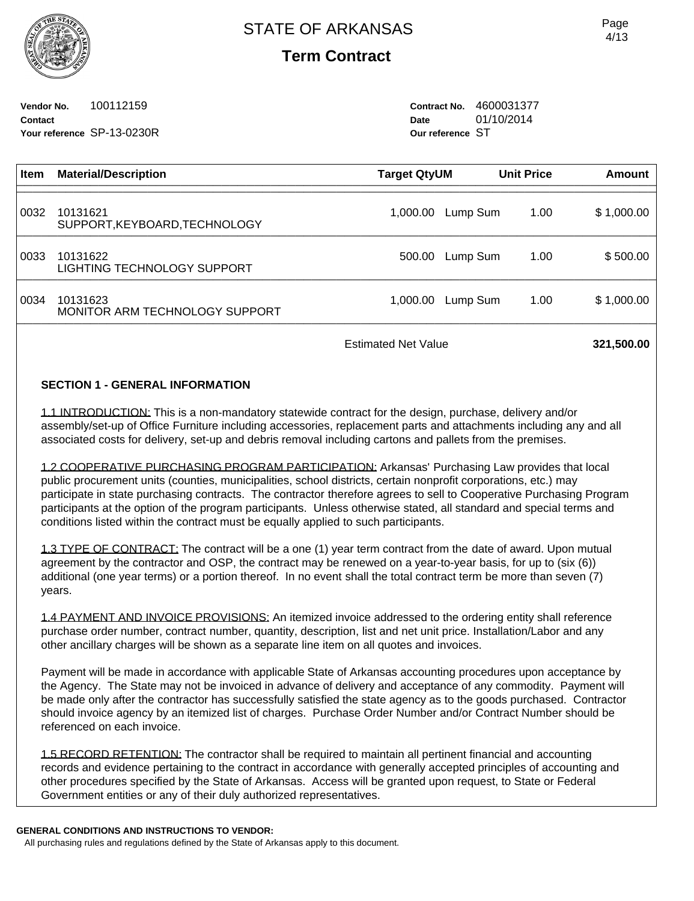**Vendor No.** 100112159 **Contact Your reference** SP-13-0230R **Contract No.** 4600031377 **Date** 01/10/2014 **Our reference** ST

| <b>Item</b> | <b>Material/Description</b>                | <b>Target QtyUM</b> |          | <b>Unit Price</b> | <b>Amount</b> |
|-------------|--------------------------------------------|---------------------|----------|-------------------|---------------|
| 0032        | 10131621<br>SUPPORT, KEYBOARD, TECHNOLOGY  | 1,000.00            | Lump Sum | 1.00              | \$1,000.00    |
| 0033        | 10131622<br>LIGHTING TECHNOLOGY SUPPORT    | 500.00              | Lump Sum | 1.00              | \$500.00      |
| 0034        | 10131623<br>MONITOR ARM TECHNOLOGY SUPPORT | 1,000.00            | Lump Sum | 1.00              | \$1,000.00    |
|             |                                            |                     |          |                   |               |

Estimated Net Value **321,500.00** 

## **SECTION 1 - GENERAL INFORMATION**

1.1 INTRODUCTION: This is a non-mandatory statewide contract for the design, purchase, delivery and/or assembly/set-up of Office Furniture including accessories, replacement parts and attachments including any and all associated costs for delivery, set-up and debris removal including cartons and pallets from the premises.

1.2 COOPERATIVE PURCHASING PROGRAM PARTICIPATION: Arkansas' Purchasing Law provides that local public procurement units (counties, municipalities, school districts, certain nonprofit corporations, etc.) may participate in state purchasing contracts. The contractor therefore agrees to sell to Cooperative Purchasing Program participants at the option of the program participants. Unless otherwise stated, all standard and special terms and conditions listed within the contract must be equally applied to such participants.

1.3 TYPE OF CONTRACT: The contract will be a one (1) year term contract from the date of award. Upon mutual agreement by the contractor and OSP, the contract may be renewed on a year-to-year basis, for up to (six (6)) additional (one year terms) or a portion thereof. In no event shall the total contract term be more than seven (7) years.

1.4 PAYMENT AND INVOICE PROVISIONS: An itemized invoice addressed to the ordering entity shall reference purchase order number, contract number, quantity, description, list and net unit price. Installation/Labor and any other ancillary charges will be shown as a separate line item on all quotes and invoices.

Payment will be made in accordance with applicable State of Arkansas accounting procedures upon acceptance by the Agency. The State may not be invoiced in advance of delivery and acceptance of any commodity. Payment will be made only after the contractor has successfully satisfied the state agency as to the goods purchased. Contractor should invoice agency by an itemized list of charges. Purchase Order Number and/or Contract Number should be referenced on each invoice.

1.5 RECORD RETENTION: The contractor shall be required to maintain all pertinent financial and accounting records and evidence pertaining to the contract in accordance with generally accepted principles of accounting and other procedures specified by the State of Arkansas. Access will be granted upon request, to State or Federal Government entities or any of their duly authorized representatives.

### **GENERAL CONDITIONS AND INSTRUCTIONS TO VENDOR:**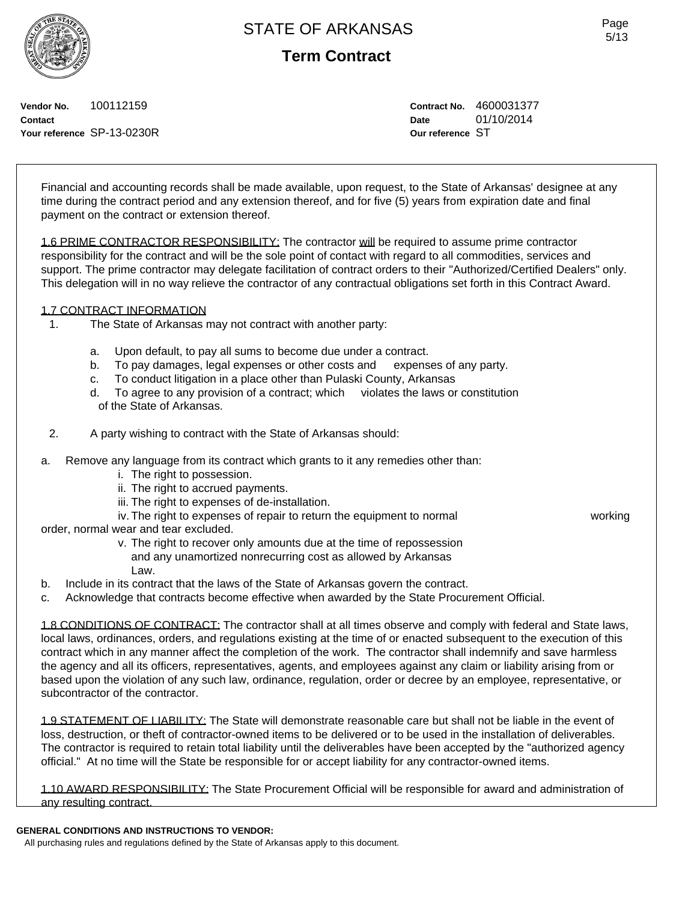# **Term Contract**

**Vendor No.** 100112159 **Contact Your reference** SP-13-0230R **Contract No.** 4600031377 **Date** 01/10/2014 **Our reference** ST

Financial and accounting records shall be made available, upon request, to the State of Arkansas' designee at any time during the contract period and any extension thereof, and for five (5) years from expiration date and final payment on the contract or extension thereof.

1.6 PRIME CONTRACTOR RESPONSIBILITY: The contractor will be required to assume prime contractor responsibility for the contract and will be the sole point of contact with regard to all commodities, services and support. The prime contractor may delegate facilitation of contract orders to their "Authorized/Certified Dealers" only. This delegation will in no way relieve the contractor of any contractual obligations set forth in this Contract Award.

## 1.7 CONTRACT INFORMATION

- 1. The State of Arkansas may not contract with another party:
	- a. Upon default, to pay all sums to become due under a contract.
	- b. To pay damages, legal expenses or other costs and expenses of any party.
	- c. To conduct litigation in a place other than Pulaski County, Arkansas
	- d. To agree to any provision of a contract; which violates the laws or constitution of the State of Arkansas.
- 2. A party wishing to contract with the State of Arkansas should:
- a. Remove any language from its contract which grants to it any remedies other than:
	- i. The right to possession.
	- ii. The right to accrued payments.
	- iii. The right to expenses of de-installation.
	- iv. The right to expenses of repair to return the equipment to normal working

order, normal wear and tear excluded.

 v. The right to recover only amounts due at the time of repossession and any unamortized nonrecurring cost as allowed by Arkansas Law.

- b. Include in its contract that the laws of the State of Arkansas govern the contract.
- c. Acknowledge that contracts become effective when awarded by the State Procurement Official.

1.8 CONDITIONS OF CONTRACT: The contractor shall at all times observe and comply with federal and State laws, local laws, ordinances, orders, and regulations existing at the time of or enacted subsequent to the execution of this contract which in any manner affect the completion of the work. The contractor shall indemnify and save harmless the agency and all its officers, representatives, agents, and employees against any claim or liability arising from or based upon the violation of any such law, ordinance, regulation, order or decree by an employee, representative, or subcontractor of the contractor.

1.9 STATEMENT OF LIABILITY: The State will demonstrate reasonable care but shall not be liable in the event of loss, destruction, or theft of contractor-owned items to be delivered or to be used in the installation of deliverables. The contractor is required to retain total liability until the deliverables have been accepted by the "authorized agency official." At no time will the State be responsible for or accept liability for any contractor-owned items.

1.10 AWARD RESPONSIBILITY: The State Procurement Official will be responsible for award and administration of any resulting contract.

### **GENERAL CONDITIONS AND INSTRUCTIONS TO VENDOR:**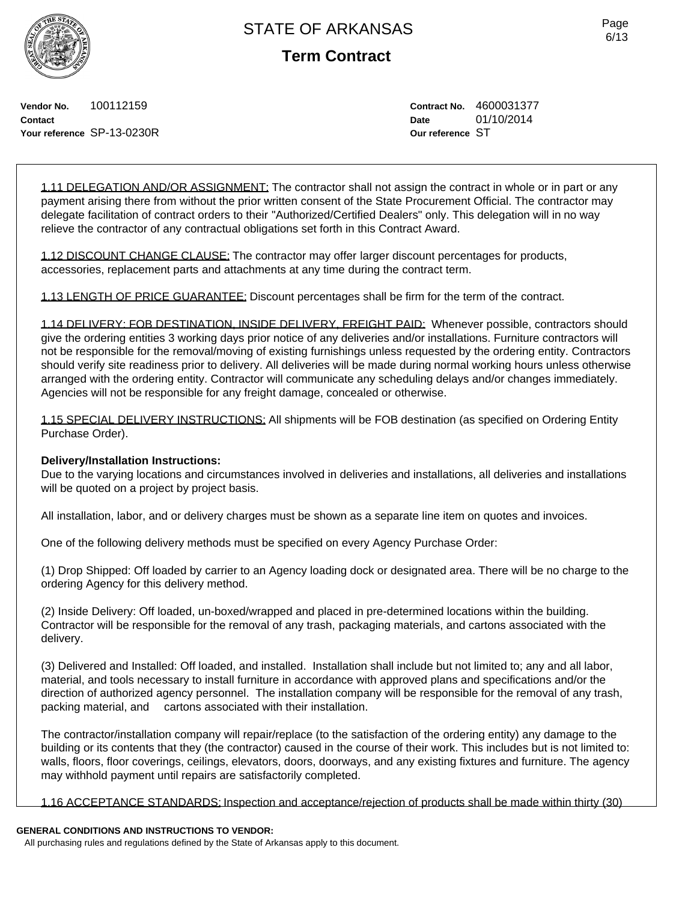**Term Contract**

Page 6/13

**Vendor No.** 100112159 **Contact Your reference** SP-13-0230R **Contract No.** 4600031377 **Date** 01/10/2014 **Our reference** ST

1.11 DELEGATION AND/OR ASSIGNMENT: The contractor shall not assign the contract in whole or in part or any payment arising there from without the prior written consent of the State Procurement Official. The contractor may delegate facilitation of contract orders to their "Authorized/Certified Dealers" only. This delegation will in no way relieve the contractor of any contractual obligations set forth in this Contract Award.

1.12 DISCOUNT CHANGE CLAUSE: The contractor may offer larger discount percentages for products, accessories, replacement parts and attachments at any time during the contract term.

1.13 LENGTH OF PRICE GUARANTEE: Discount percentages shall be firm for the term of the contract.

1.14 DELIVERY: FOB DESTINATION, INSIDE DELIVERY, FREIGHT PAID: Whenever possible, contractors should give the ordering entities 3 working days prior notice of any deliveries and/or installations. Furniture contractors will not be responsible for the removal/moving of existing furnishings unless requested by the ordering entity. Contractors should verify site readiness prior to delivery. All deliveries will be made during normal working hours unless otherwise arranged with the ordering entity. Contractor will communicate any scheduling delays and/or changes immediately. Agencies will not be responsible for any freight damage, concealed or otherwise.

1.15 SPECIAL DELIVERY INSTRUCTIONS: All shipments will be FOB destination (as specified on Ordering Entity Purchase Order).

## **Delivery/Installation Instructions:**

Due to the varying locations and circumstances involved in deliveries and installations, all deliveries and installations will be quoted on a project by project basis.

All installation, labor, and or delivery charges must be shown as a separate line item on quotes and invoices.

One of the following delivery methods must be specified on every Agency Purchase Order:

(1) Drop Shipped: Off loaded by carrier to an Agency loading dock or designated area. There will be no charge to the ordering Agency for this delivery method.

(2) Inside Delivery: Off loaded, un-boxed/wrapped and placed in pre-determined locations within the building. Contractor will be responsible for the removal of any trash, packaging materials, and cartons associated with the delivery.

(3) Delivered and Installed: Off loaded, and installed. Installation shall include but not limited to; any and all labor, material, and tools necessary to install furniture in accordance with approved plans and specifications and/or the direction of authorized agency personnel. The installation company will be responsible for the removal of any trash, packing material, and cartons associated with their installation.

The contractor/installation company will repair/replace (to the satisfaction of the ordering entity) any damage to the building or its contents that they (the contractor) caused in the course of their work. This includes but is not limited to: walls, floors, floor coverings, ceilings, elevators, doors, doorways, and any existing fixtures and furniture. The agency may withhold payment until repairs are satisfactorily completed.

1.16 ACCEPTANCE STANDARDS: Inspection and acceptance/rejection of products shall be made within thirty (30)

## **GENERAL CONDITIONS AND INSTRUCTIONS TO VENDOR:**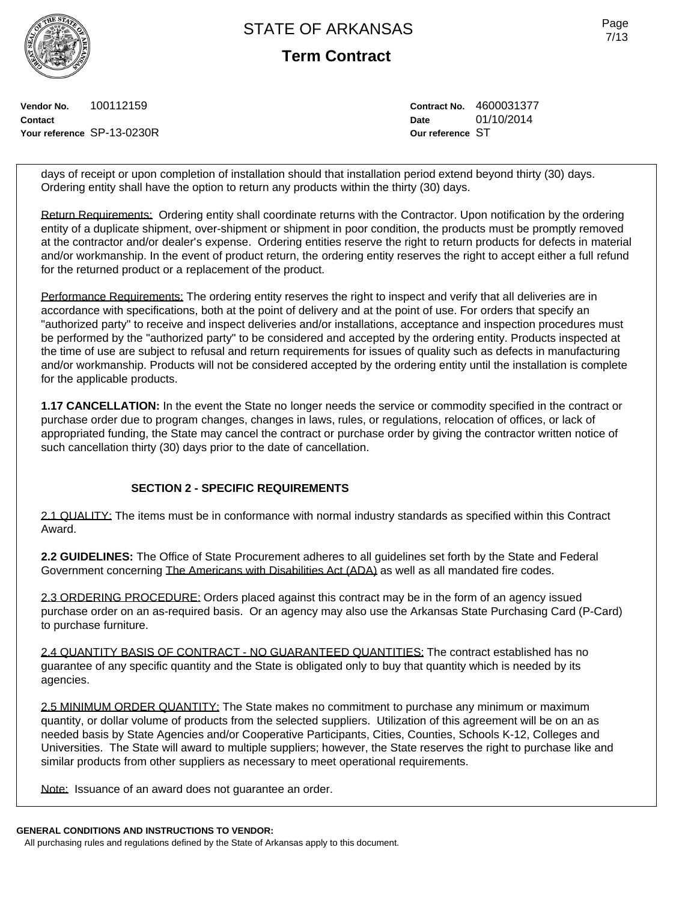**Term Contract**

**Vendor No.** 100112159 **Contact Your reference** SP-13-0230R **Contract No.** 4600031377 **Date** 01/10/2014 **Our reference** ST

days of receipt or upon completion of installation should that installation period extend beyond thirty (30) days. Ordering entity shall have the option to return any products within the thirty (30) days.

Return Requirements: Ordering entity shall coordinate returns with the Contractor. Upon notification by the ordering entity of a duplicate shipment, over-shipment or shipment in poor condition, the products must be promptly removed at the contractor and/or dealer's expense. Ordering entities reserve the right to return products for defects in material and/or workmanship. In the event of product return, the ordering entity reserves the right to accept either a full refund for the returned product or a replacement of the product.

Performance Requirements: The ordering entity reserves the right to inspect and verify that all deliveries are in accordance with specifications, both at the point of delivery and at the point of use. For orders that specify an "authorized party" to receive and inspect deliveries and/or installations, acceptance and inspection procedures must be performed by the "authorized party" to be considered and accepted by the ordering entity. Products inspected at the time of use are subject to refusal and return requirements for issues of quality such as defects in manufacturing and/or workmanship. Products will not be considered accepted by the ordering entity until the installation is complete for the applicable products.

**1.17 CANCELLATION:** In the event the State no longer needs the service or commodity specified in the contract or purchase order due to program changes, changes in laws, rules, or regulations, relocation of offices, or lack of appropriated funding, the State may cancel the contract or purchase order by giving the contractor written notice of such cancellation thirty (30) days prior to the date of cancellation.

## **SECTION 2 - SPECIFIC REQUIREMENTS**

2.1 QUALITY: The items must be in conformance with normal industry standards as specified within this Contract Award.

**2.2 GUIDELINES:** The Office of State Procurement adheres to all guidelines set forth by the State and Federal Government concerning The Americans with Disabilities Act (ADA) as well as all mandated fire codes.

2.3 ORDERING PROCEDURE: Orders placed against this contract may be in the form of an agency issued purchase order on an as-required basis. Or an agency may also use the Arkansas State Purchasing Card (P-Card) to purchase furniture.

2.4 QUANTITY BASIS OF CONTRACT - NO GUARANTEED QUANTITIES: The contract established has no guarantee of any specific quantity and the State is obligated only to buy that quantity which is needed by its agencies.

2.5 MINIMUM ORDER QUANTITY: The State makes no commitment to purchase any minimum or maximum quantity, or dollar volume of products from the selected suppliers. Utilization of this agreement will be on an as needed basis by State Agencies and/or Cooperative Participants, Cities, Counties, Schools K-12, Colleges and Universities. The State will award to multiple suppliers; however, the State reserves the right to purchase like and similar products from other suppliers as necessary to meet operational requirements.

Note: Issuance of an award does not guarantee an order.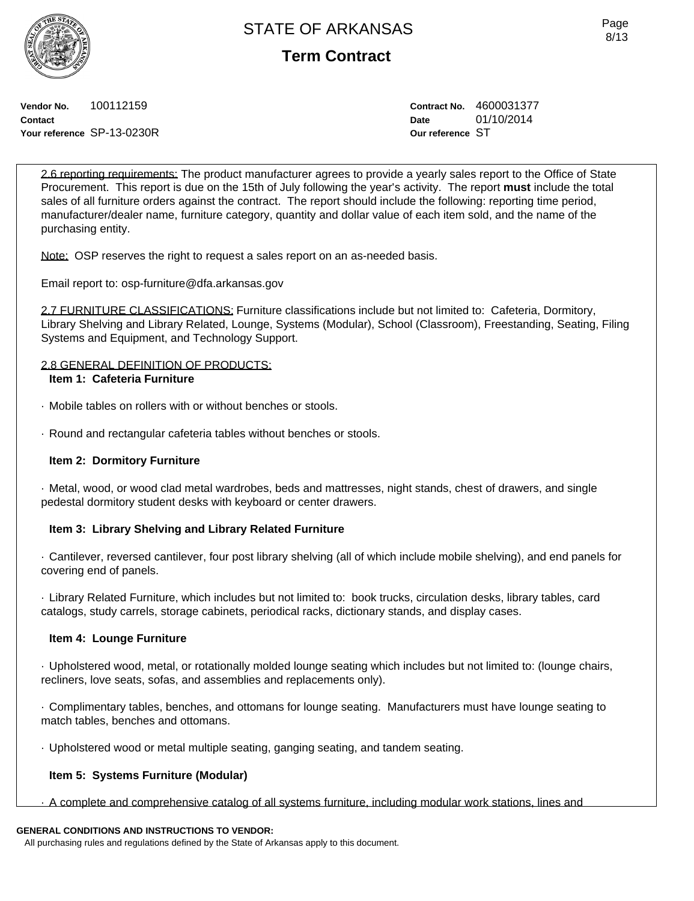**Term Contract**

**Vendor No.** 100112159 **Contact Your reference** SP-13-0230R **Contract No.** 4600031377 **Date** 01/10/2014 **Our reference** ST

2.6 reporting requirements: The product manufacturer agrees to provide a yearly sales report to the Office of State Procurement. This report is due on the 15th of July following the year's activity. The report **must** include the total sales of all furniture orders against the contract. The report should include the following: reporting time period, manufacturer/dealer name, furniture category, quantity and dollar value of each item sold, and the name of the purchasing entity.

Note: OSP reserves the right to request a sales report on an as-needed basis.

Email report to: osp-furniture@dfa.arkansas.gov

2.7 FURNITURE CLASSIFICATIONS: Furniture classifications include but not limited to: Cafeteria, Dormitory, Library Shelving and Library Related, Lounge, Systems (Modular), School (Classroom), Freestanding, Seating, Filing Systems and Equipment, and Technology Support.

### 2.8 GENERAL DEFINITION OF PRODUCTS: **Item 1: Cafeteria Furniture**

- · Mobile tables on rollers with or without benches or stools.
- · Round and rectangular cafeteria tables without benches or stools.

# **Item 2: Dormitory Furniture**

· Metal, wood, or wood clad metal wardrobes, beds and mattresses, night stands, chest of drawers, and single pedestal dormitory student desks with keyboard or center drawers.

# **Item 3: Library Shelving and Library Related Furniture**

· Cantilever, reversed cantilever, four post library shelving (all of which include mobile shelving), and end panels for covering end of panels.

· Library Related Furniture, which includes but not limited to: book trucks, circulation desks, library tables, card catalogs, study carrels, storage cabinets, periodical racks, dictionary stands, and display cases.

# **Item 4: Lounge Furniture**

· Upholstered wood, metal, or rotationally molded lounge seating which includes but not limited to: (lounge chairs, recliners, love seats, sofas, and assemblies and replacements only).

· Complimentary tables, benches, and ottomans for lounge seating. Manufacturers must have lounge seating to match tables, benches and ottomans.

· Upholstered wood or metal multiple seating, ganging seating, and tandem seating.

# **Item 5: Systems Furniture (Modular)**

· A complete and comprehensive catalog of all systems furniture, including modular work stations, lines and

# **GENERAL CONDITIONS AND INSTRUCTIONS TO VENDOR:**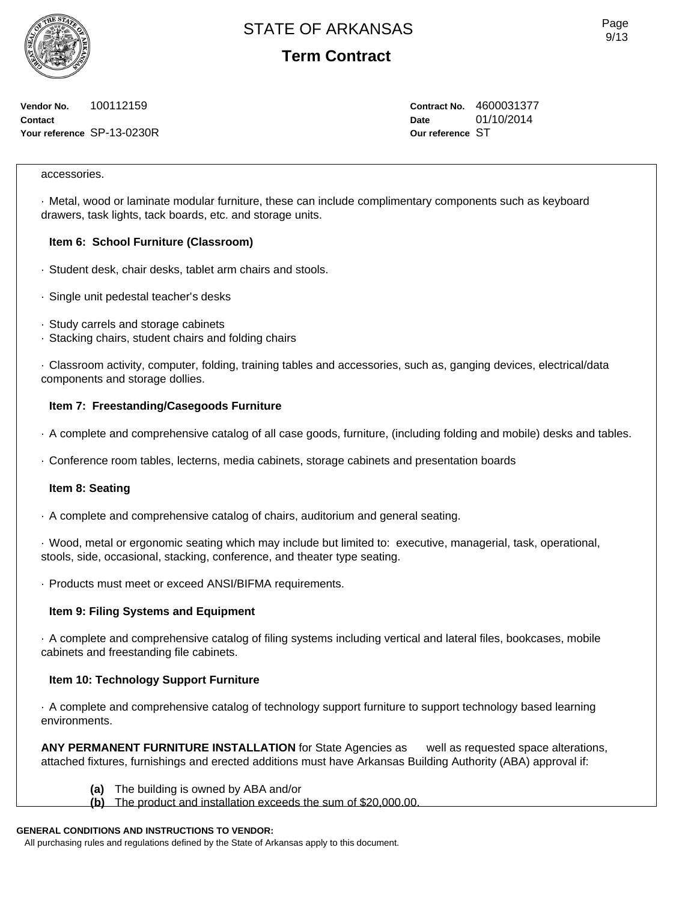**Term Contract**

**Vendor No.** 100112159 **Contact Your reference** SP-13-0230R **Contract No.** 4600031377 **Date** 01/10/2014 **Our reference** ST

### accessories.

· Metal, wood or laminate modular furniture, these can include complimentary components such as keyboard drawers, task lights, tack boards, etc. and storage units.

### **Item 6: School Furniture (Classroom)**

- · Student desk, chair desks, tablet arm chairs and stools.
- · Single unit pedestal teacher's desks
- · Study carrels and storage cabinets
- · Stacking chairs, student chairs and folding chairs

· Classroom activity, computer, folding, training tables and accessories, such as, ganging devices, electrical/data components and storage dollies.

### **Item 7: Freestanding/Casegoods Furniture**

- · A complete and comprehensive catalog of all case goods, furniture, (including folding and mobile) desks and tables.
- · Conference room tables, lecterns, media cabinets, storage cabinets and presentation boards

### **Item 8: Seating**

· A complete and comprehensive catalog of chairs, auditorium and general seating.

· Wood, metal or ergonomic seating which may include but limited to: executive, managerial, task, operational, stools, side, occasional, stacking, conference, and theater type seating.

· Products must meet or exceed ANSI/BIFMA requirements.

### **Item 9: Filing Systems and Equipment**

· A complete and comprehensive catalog of filing systems including vertical and lateral files, bookcases, mobile cabinets and freestanding file cabinets.

## **Item 10: Technology Support Furniture**

· A complete and comprehensive catalog of technology support furniture to support technology based learning environments.

**ANY PERMANENT FURNITURE INSTALLATION** for State Agencies as well as requested space alterations, attached fixtures, furnishings and erected additions must have Arkansas Building Authority (ABA) approval if:

- **(a)** The building is owned by ABA and/or
- **(b)** The product and installation exceeds the sum of \$20,000.00.

# **GENERAL CONDITIONS AND INSTRUCTIONS TO VENDOR:**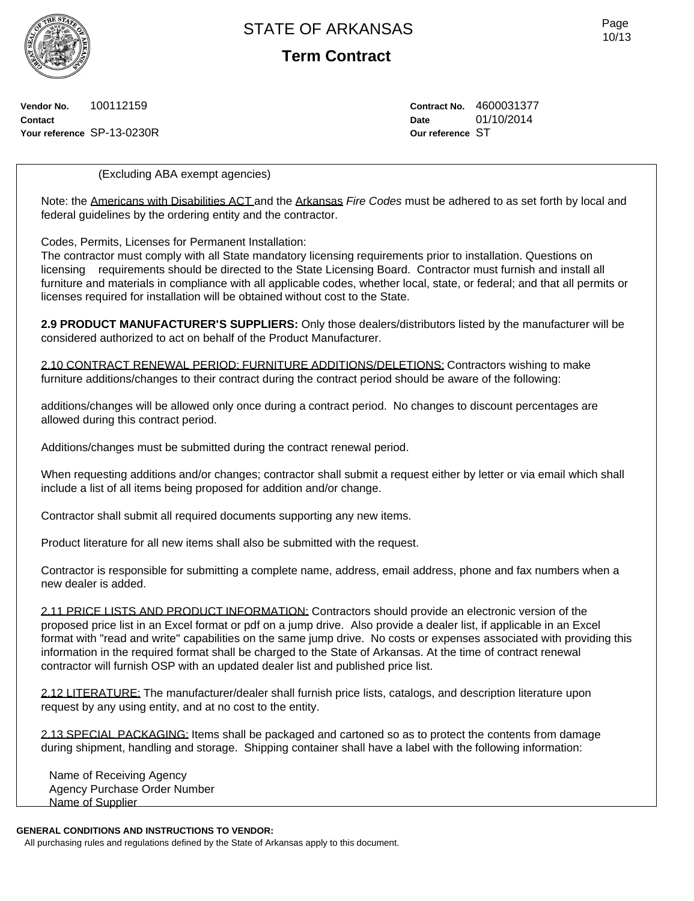**Term Contract**

**Vendor No.** 100112159 **Contact Your reference** SP-13-0230R **Contract No.** 4600031377 **Date** 01/10/2014 **Our reference** ST

(Excluding ABA exempt agencies)

Note: the Americans with Disabilities ACT and the Arkansas *Fire Codes* must be adhered to as set forth by local and federal guidelines by the ordering entity and the contractor.

Codes, Permits, Licenses for Permanent Installation:

The contractor must comply with all State mandatory licensing requirements prior to installation. Questions on licensing requirements should be directed to the State Licensing Board. Contractor must furnish and install all furniture and materials in compliance with all applicable codes, whether local, state, or federal; and that all permits or licenses required for installation will be obtained without cost to the State.

**2.9 PRODUCT MANUFACTURER'S SUPPLIERS:** Only those dealers/distributors listed by the manufacturer will be considered authorized to act on behalf of the Product Manufacturer.

2.10 CONTRACT RENEWAL PERIOD: FURNITURE ADDITIONS/DELETIONS: Contractors wishing to make furniture additions/changes to their contract during the contract period should be aware of the following:

additions/changes will be allowed only once during a contract period. No changes to discount percentages are allowed during this contract period.

Additions/changes must be submitted during the contract renewal period.

When requesting additions and/or changes; contractor shall submit a request either by letter or via email which shall include a list of all items being proposed for addition and/or change.

Contractor shall submit all required documents supporting any new items.

Product literature for all new items shall also be submitted with the request.

Contractor is responsible for submitting a complete name, address, email address, phone and fax numbers when a new dealer is added.

2.11 PRICE LISTS AND PRODUCT INFORMATION: Contractors should provide an electronic version of the proposed price list in an Excel format or pdf on a jump drive. Also provide a dealer list, if applicable in an Excel format with "read and write" capabilities on the same jump drive. No costs or expenses associated with providing this information in the required format shall be charged to the State of Arkansas. At the time of contract renewal contractor will furnish OSP with an updated dealer list and published price list.

2.12 LITERATURE: The manufacturer/dealer shall furnish price lists, catalogs, and description literature upon request by any using entity, and at no cost to the entity.

2.13 SPECIAL PACKAGING: Items shall be packaged and cartoned so as to protect the contents from damage during shipment, handling and storage. Shipping container shall have a label with the following information:

Name of Receiving Agency Agency Purchase Order Number Name of Supplier

## **GENERAL CONDITIONS AND INSTRUCTIONS TO VENDOR:**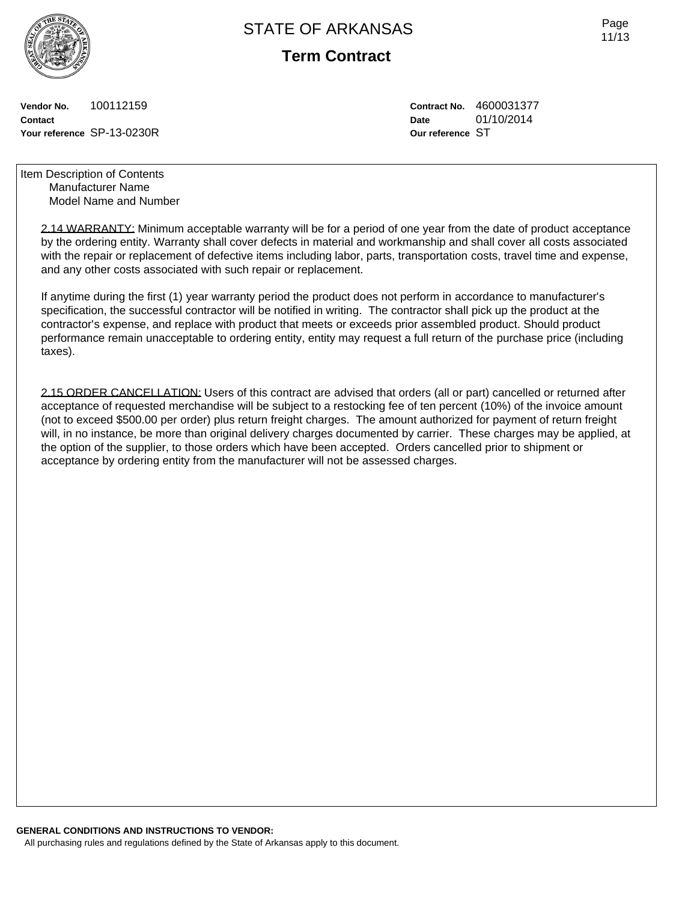

**Term Contract**

**Vendor No.** 100112159 **Contact Your reference** SP-13-0230R **Contract No.** 4600031377 **Date** 01/10/2014 **Our reference** ST

Item Description of Contents Manufacturer Name Model Name and Number

> 2.14 WARRANTY: Minimum acceptable warranty will be for a period of one year from the date of product acceptance by the ordering entity. Warranty shall cover defects in material and workmanship and shall cover all costs associated with the repair or replacement of defective items including labor, parts, transportation costs, travel time and expense, and any other costs associated with such repair or replacement.

If anytime during the first (1) year warranty period the product does not perform in accordance to manufacturer's specification, the successful contractor will be notified in writing. The contractor shall pick up the product at the contractor's expense, and replace with product that meets or exceeds prior assembled product. Should product performance remain unacceptable to ordering entity, entity may request a full return of the purchase price (including taxes).

2.15 ORDER CANCELLATION: Users of this contract are advised that orders (all or part) cancelled or returned after acceptance of requested merchandise will be subject to a restocking fee of ten percent (10%) of the invoice amount (not to exceed \$500.00 per order) plus return freight charges. The amount authorized for payment of return freight will, in no instance, be more than original delivery charges documented by carrier. These charges may be applied, at the option of the supplier, to those orders which have been accepted. Orders cancelled prior to shipment or acceptance by ordering entity from the manufacturer will not be assessed charges.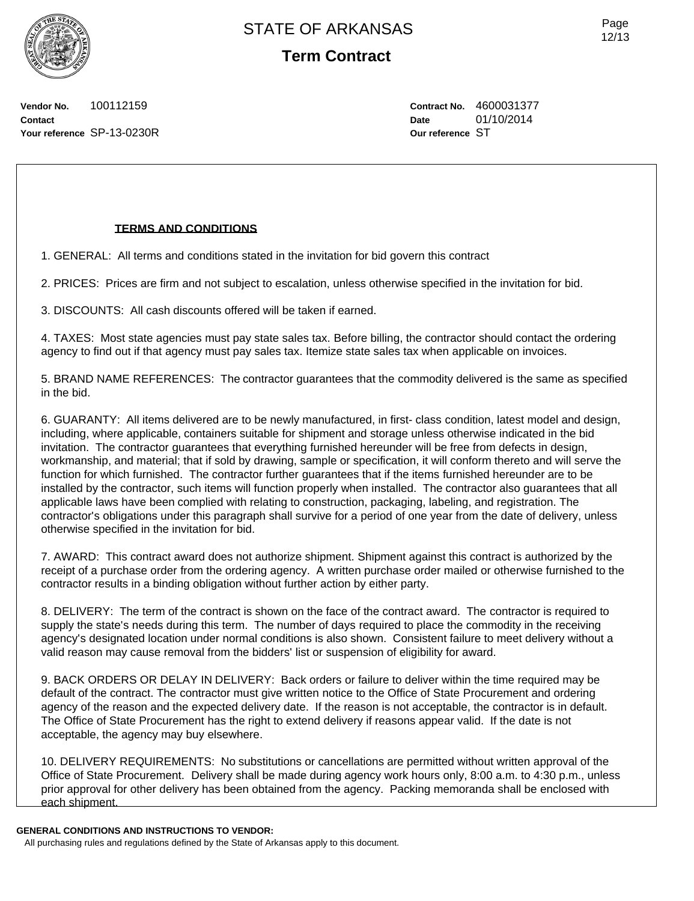Page 12/13

**Vendor No.** 100112159 **Contact Your reference** SP-13-0230R **Contract No.** 4600031377 **Date** 01/10/2014 **Our reference** ST

## **TERMS AND CONDITIONS**

1. GENERAL: All terms and conditions stated in the invitation for bid govern this contract

2. PRICES: Prices are firm and not subject to escalation, unless otherwise specified in the invitation for bid.

3. DISCOUNTS: All cash discounts offered will be taken if earned.

4. TAXES: Most state agencies must pay state sales tax. Before billing, the contractor should contact the ordering agency to find out if that agency must pay sales tax. Itemize state sales tax when applicable on invoices.

5. BRAND NAME REFERENCES: The contractor guarantees that the commodity delivered is the same as specified in the bid.

6. GUARANTY: All items delivered are to be newly manufactured, in first- class condition, latest model and design, including, where applicable, containers suitable for shipment and storage unless otherwise indicated in the bid invitation. The contractor guarantees that everything furnished hereunder will be free from defects in design, workmanship, and material; that if sold by drawing, sample or specification, it will conform thereto and will serve the function for which furnished. The contractor further guarantees that if the items furnished hereunder are to be installed by the contractor, such items will function properly when installed. The contractor also guarantees that all applicable laws have been complied with relating to construction, packaging, labeling, and registration. The contractor's obligations under this paragraph shall survive for a period of one year from the date of delivery, unless otherwise specified in the invitation for bid.

7. AWARD: This contract award does not authorize shipment. Shipment against this contract is authorized by the receipt of a purchase order from the ordering agency. A written purchase order mailed or otherwise furnished to the contractor results in a binding obligation without further action by either party.

8. DELIVERY: The term of the contract is shown on the face of the contract award. The contractor is required to supply the state's needs during this term. The number of days required to place the commodity in the receiving agency's designated location under normal conditions is also shown. Consistent failure to meet delivery without a valid reason may cause removal from the bidders' list or suspension of eligibility for award.

9. BACK ORDERS OR DELAY IN DELIVERY: Back orders or failure to deliver within the time required may be default of the contract. The contractor must give written notice to the Office of State Procurement and ordering agency of the reason and the expected delivery date. If the reason is not acceptable, the contractor is in default. The Office of State Procurement has the right to extend delivery if reasons appear valid. If the date is not acceptable, the agency may buy elsewhere.

10. DELIVERY REQUIREMENTS: No substitutions or cancellations are permitted without written approval of the Office of State Procurement. Delivery shall be made during agency work hours only, 8:00 a.m. to 4:30 p.m., unless prior approval for other delivery has been obtained from the agency. Packing memoranda shall be enclosed with each shipment.

**GENERAL CONDITIONS AND INSTRUCTIONS TO VENDOR:**